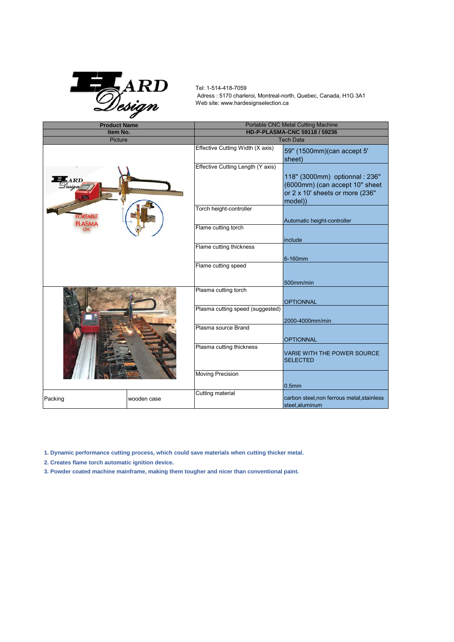

 Adress : 5170 charleroi, Montreal-north, Quebec, Canada, H1G 3A1 Web site: www.hardesignselection.ca Tel: 1-514-418-7059

| <b>Product Name</b>              |             | <b>Portable CNC Metal Cutting Machine</b> |                                                                                                                |
|----------------------------------|-------------|-------------------------------------------|----------------------------------------------------------------------------------------------------------------|
| Item No.                         |             | HD-P-PLASMA-CNC 59118 / 59236             |                                                                                                                |
| Picture                          |             | <b>Tech Data</b>                          |                                                                                                                |
| 5ARD                             |             | Effective Cutting Width (X axis)          | 59" (1500mm) (can accept 5'<br>sheet)                                                                          |
|                                  |             | Effective Cutting Length (Y axis)         | 118" (3000mm) optionnal : 236"<br>(6000mm) (can accept 10" sheet<br>or 2 x 10' sheets or more (236"<br>model)) |
| <b>PORTABLE</b><br><b>PLASMA</b> |             | Torch height-controller                   | Automatic height-controller                                                                                    |
|                                  |             | Flame cutting torch                       | include                                                                                                        |
|                                  |             | Flame cutting thickness                   | 6-160mm                                                                                                        |
|                                  |             | Flame cutting speed                       |                                                                                                                |
|                                  |             |                                           | 500mm/min                                                                                                      |
|                                  |             | Plasma cutting torch                      | <b>OPTIONNAL</b>                                                                                               |
|                                  |             | Plasma cutting speed (suggested)          | 2000-4000mm/min                                                                                                |
|                                  |             | Plasma source Brand                       | <b>OPTIONNAL</b>                                                                                               |
|                                  |             | Plasma cutting thickness                  | <b>VARIE WITH THE POWER SOURCE</b><br><b>SELECTED</b>                                                          |
|                                  |             | <b>Moving Precision</b>                   | 0.5 <sub>mm</sub>                                                                                              |
| Packing                          | wooden case | Cutting material                          | carbon steel, non ferrous metal, stainless<br>steel, aluminum                                                  |

**1. Dynamic performance cutting process, which could save materials when cutting thicker metal.**

**2. Creates flame torch automatic ignition device.**

**3. Powder coated machine mainframe, making them tougher and nicer than conventional paint.**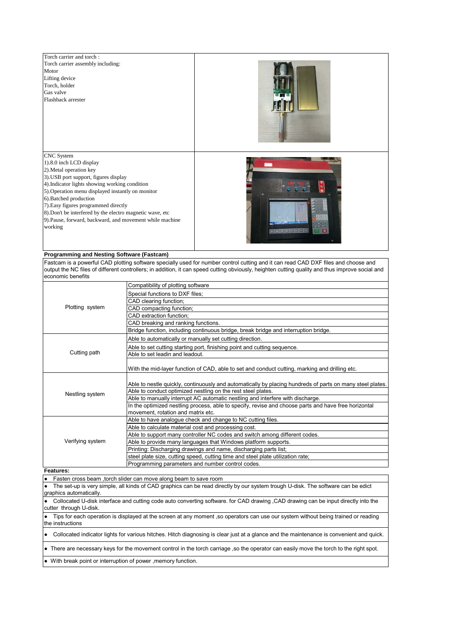

## **Programming and Nesting Software (Fastcam)**

Fastcam is a powerful CAD plotting software specially used for number control cutting and it can read CAD DXF files and choose and output the NC files of different controllers; in addition, it can speed cutting obviously, heighten cutting quality and thus improve social and economic benefits

| Plotting system  | Compatibility of plotting software                                                                        |  |  |
|------------------|-----------------------------------------------------------------------------------------------------------|--|--|
|                  | Special functions to DXF files;                                                                           |  |  |
|                  | CAD clearing function;                                                                                    |  |  |
|                  | CAD compacting function;                                                                                  |  |  |
|                  | CAD extraction function:                                                                                  |  |  |
|                  | CAD breaking and ranking functions.                                                                       |  |  |
|                  | Bridge function, including continuous bridge, break bridge and interruption bridge.                       |  |  |
| Cutting path     | Able to automatically or manually set cutting direction.                                                  |  |  |
|                  | Able to set cutting starting port, finishing point and cutting sequence.                                  |  |  |
|                  | Able to set leadin and leadout.                                                                           |  |  |
|                  | With the mid-layer function of CAD, able to set and conduct cutting, marking and drilling etc.            |  |  |
| Nestling system  |                                                                                                           |  |  |
|                  | Able to nestle quickly, continuously and automatically by placing hundreds of parts on many steel plates. |  |  |
|                  | Able to conduct optimized nestling on the rest steel plates.                                              |  |  |
|                  | Able to manually interrupt AC automatic nestling and interfere with discharge.                            |  |  |
|                  | In the optimized nestling process, able to specify, revise and choose parts and have free horizontal      |  |  |
|                  | movement, rotation and matrix etc.                                                                        |  |  |
| Verifying system | Able to have analogue check and change to NC cutting files.                                               |  |  |
|                  | Able to calculate material cost and processing cost.                                                      |  |  |
|                  | Able to support many controller NC codes and switch among different codes.                                |  |  |
|                  | Able to provide many languages that Windows platform supports.                                            |  |  |
|                  | Printing: Discharging drawings and name, discharging parts list;                                          |  |  |
|                  | steel plate size, cutting speed, cutting time and steel plate utilization rate;                           |  |  |
|                  | Programming parameters and number control codes.                                                          |  |  |

## **Features:**

● Fasten cross beam ,torch slider can move along beam to save room

The set-up is very simple, all kinds of CAD graphics can be read directly by our system trough U-disk. The software can be edict graphics automatically.

Collocated U-disk interface and cutting code auto converting software. for CAD drawing ,CAD drawing can be input directly into the cutter through U-disk.

● Tips for each operation is displayed at the screen at any moment ,so operators can use our system without being trained or reading the instructions

● Collocated indicator lights for various hitches. Hitch diagnosing is clear just at a glance and the maintenance is convenient and quick.

● There are necessary keys for the movement control in the torch carriage ,so the operator can easily move the torch to the right spot.

With break point or interruption of power ,memory function.